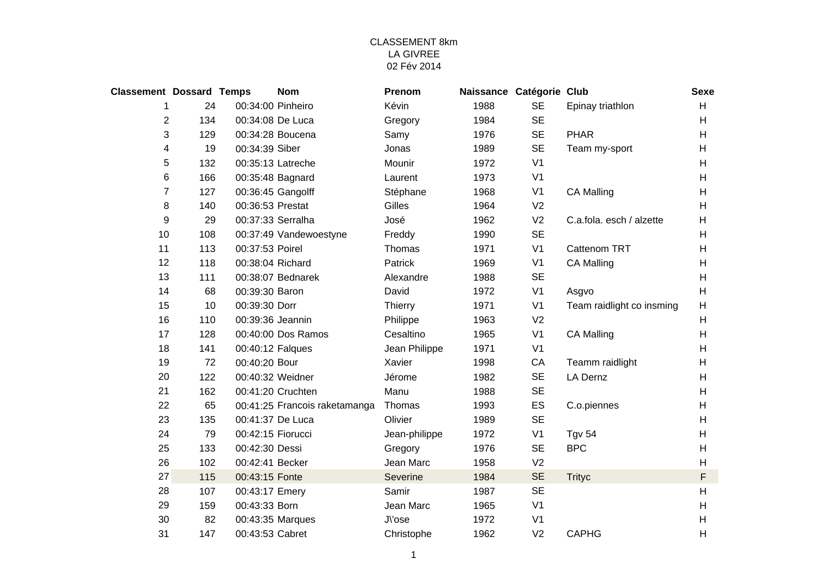| <b>Classement Dossard Temps</b> |     |                   | <b>Nom</b>                    | Prenom        | Naissance Catégorie Club |                |                           | <b>Sexe</b>               |
|---------------------------------|-----|-------------------|-------------------------------|---------------|--------------------------|----------------|---------------------------|---------------------------|
| 1                               | 24  | 00:34:00 Pinheiro |                               | Kévin         | 1988                     | <b>SE</b>      | Epinay triathlon          | H                         |
| $\overline{2}$                  | 134 | 00:34:08 De Luca  |                               | Gregory       | 1984                     | <b>SE</b>      |                           | H                         |
| 3                               | 129 |                   | 00:34:28 Boucena              | Samy          | 1976                     | <b>SE</b>      | <b>PHAR</b>               | H                         |
| 4                               | 19  | 00:34:39 Siber    |                               | Jonas         | 1989                     | <b>SE</b>      | Team my-sport             | H                         |
| 5                               | 132 |                   | 00:35:13 Latreche             | Mounir        | 1972                     | V <sub>1</sub> |                           | H                         |
| 6                               | 166 |                   | 00:35:48 Bagnard              | Laurent       | 1973                     | V <sub>1</sub> |                           | H                         |
| 7                               | 127 |                   | 00:36:45 Gangolff             | Stéphane      | 1968                     | V <sub>1</sub> | <b>CA Malling</b>         | Н                         |
| 8                               | 140 | 00:36:53 Prestat  |                               | Gilles        | 1964                     | V <sub>2</sub> |                           | H                         |
| 9                               | 29  |                   | 00:37:33 Serralha             | José          | 1962                     | V <sub>2</sub> | C.a.fola. esch / alzette  | H                         |
| 10                              | 108 |                   | 00:37:49 Vandewoestyne        | Freddy        | 1990                     | <b>SE</b>      |                           | н                         |
| 11                              | 113 | 00:37:53 Poirel   |                               | Thomas        | 1971                     | V <sub>1</sub> | Cattenom TRT              | н                         |
| 12                              | 118 | 00:38:04 Richard  |                               | Patrick       | 1969                     | V <sub>1</sub> | <b>CA Malling</b>         | H                         |
| 13                              | 111 |                   | 00:38:07 Bednarek             | Alexandre     | 1988                     | <b>SE</b>      |                           | H                         |
| 14                              | 68  | 00:39:30 Baron    |                               | David         | 1972                     | V <sub>1</sub> | Asgvo                     | $\boldsymbol{\mathsf{H}}$ |
| 15                              | 10  | 00:39:30 Dorr     |                               | Thierry       | 1971                     | V <sub>1</sub> | Team raidlight co insming | H                         |
| 16                              | 110 | 00:39:36 Jeannin  |                               | Philippe      | 1963                     | V <sub>2</sub> |                           | H                         |
| 17                              | 128 |                   | 00:40:00 Dos Ramos            | Cesaltino     | 1965                     | V <sub>1</sub> | <b>CA Malling</b>         | H                         |
| 18                              | 141 | 00:40:12 Falques  |                               | Jean Philippe | 1971                     | V <sub>1</sub> |                           | H                         |
| 19                              | 72  | 00:40:20 Bour     |                               | Xavier        | 1998                     | CA             | Teamm raidlight           | $\boldsymbol{\mathsf{H}}$ |
| 20                              | 122 |                   | 00:40:32 Weidner              | Jérome        | 1982                     | <b>SE</b>      | <b>LA Dernz</b>           | H                         |
| 21                              | 162 |                   | 00:41:20 Cruchten             | Manu          | 1988                     | <b>SE</b>      |                           | H                         |
| 22                              | 65  |                   | 00:41:25 Francois raketamanga | Thomas        | 1993                     | ES             | C.o.piennes               | H                         |
| 23                              | 135 |                   | 00:41:37 De Luca              | Olivier       | 1989                     | <b>SE</b>      |                           | H                         |
| 24                              | 79  | 00:42:15 Fiorucci |                               | Jean-philippe | 1972                     | V <sub>1</sub> | <b>Tgv 54</b>             | H                         |
| 25                              | 133 | 00:42:30 Dessi    |                               | Gregory       | 1976                     | <b>SE</b>      | <b>BPC</b>                | H                         |
| 26                              | 102 | 00:42:41 Becker   |                               | Jean Marc     | 1958                     | V <sub>2</sub> |                           | H                         |
| 27                              | 115 | 00:43:15 Fonte    |                               | Severine      | 1984                     | <b>SE</b>      | <b>Trityc</b>             | $\mathsf F$               |
| 28                              | 107 | 00:43:17 Emery    |                               | Samir         | 1987                     | <b>SE</b>      |                           | H                         |
| 29                              | 159 | 00:43:33 Born     |                               | Jean Marc     | 1965                     | V <sub>1</sub> |                           | H                         |
| 30                              | 82  |                   | 00:43:35 Marques              | J\'ose        | 1972                     | V <sub>1</sub> |                           | H                         |
| 31                              | 147 | 00:43:53 Cabret   |                               | Christophe    | 1962                     | V <sub>2</sub> | <b>CAPHG</b>              | Н                         |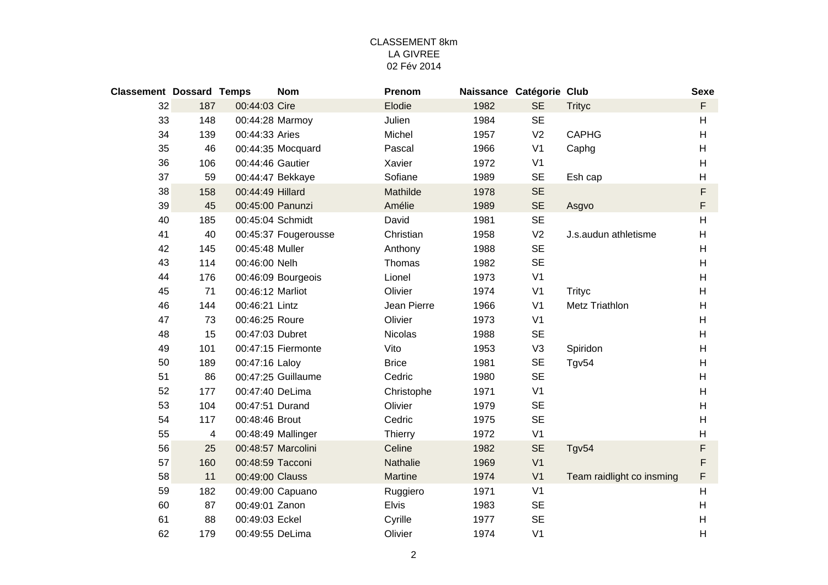| <b>Classement Dossard Temps</b> |     |                  | <b>Nom</b>           | Prenom          | Naissance Catégorie Club |                |                           | <b>Sexe</b>    |
|---------------------------------|-----|------------------|----------------------|-----------------|--------------------------|----------------|---------------------------|----------------|
| 32                              | 187 | 00:44:03 Cire    |                      | Elodie          | 1982                     | <b>SE</b>      | <b>Trityc</b>             | F              |
| 33                              | 148 | 00:44:28 Marmoy  |                      | Julien          | 1984                     | <b>SE</b>      |                           | H              |
| 34                              | 139 | 00:44:33 Aries   |                      | Michel          | 1957                     | V <sub>2</sub> | <b>CAPHG</b>              | H              |
| 35                              | 46  |                  | 00:44:35 Mocquard    | Pascal          | 1966                     | V <sub>1</sub> | Caphg                     | H              |
| 36                              | 106 | 00:44:46 Gautier |                      | Xavier          | 1972                     | V <sub>1</sub> |                           | H              |
| 37                              | 59  |                  | 00:44:47 Bekkaye     | Sofiane         | 1989                     | <b>SE</b>      | Esh cap                   | H              |
| 38                              | 158 | 00:44:49 Hillard |                      | Mathilde        | 1978                     | <b>SE</b>      |                           | F              |
| 39                              | 45  | 00:45:00 Panunzi |                      | Amélie          | 1989                     | <b>SE</b>      | Asgvo                     | $\mathsf F$    |
| 40                              | 185 | 00:45:04 Schmidt |                      | David           | 1981                     | <b>SE</b>      |                           | H              |
| 41                              | 40  |                  | 00:45:37 Fougerousse | Christian       | 1958                     | V <sub>2</sub> | J.s.audun athletisme      | H              |
| 42                              | 145 | 00:45:48 Muller  |                      | Anthony         | 1988                     | <b>SE</b>      |                           | H              |
| 43                              | 114 | 00:46:00 Nelh    |                      | Thomas          | 1982                     | <b>SE</b>      |                           | H              |
| 44                              | 176 |                  | 00:46:09 Bourgeois   | Lionel          | 1973                     | V <sub>1</sub> |                           | H              |
| 45                              | 71  | 00:46:12 Marliot |                      | Olivier         | 1974                     | V <sub>1</sub> | <b>Trityc</b>             | H              |
| 46                              | 144 | 00:46:21 Lintz   |                      | Jean Pierre     | 1966                     | V <sub>1</sub> | Metz Triathlon            | H              |
| 47                              | 73  | 00:46:25 Roure   |                      | Olivier         | 1973                     | V <sub>1</sub> |                           | H              |
| 48                              | 15  | 00:47:03 Dubret  |                      | <b>Nicolas</b>  | 1988                     | <b>SE</b>      |                           | H              |
| 49                              | 101 |                  | 00:47:15 Fiermonte   | Vito            | 1953                     | V <sub>3</sub> | Spiridon                  | H              |
| 50                              | 189 | 00:47:16 Laloy   |                      | <b>Brice</b>    | 1981                     | <b>SE</b>      | Tgv54                     | H              |
| 51                              | 86  |                  | 00:47:25 Guillaume   | Cedric          | 1980                     | <b>SE</b>      |                           | H              |
| 52                              | 177 | 00:47:40 DeLima  |                      | Christophe      | 1971                     | V <sub>1</sub> |                           | H              |
| 53                              | 104 | 00:47:51 Durand  |                      | Olivier         | 1979                     | <b>SE</b>      |                           | H              |
| 54                              | 117 | 00:48:46 Brout   |                      | Cedric          | 1975                     | <b>SE</b>      |                           | H              |
| 55                              | 4   |                  | 00:48:49 Mallinger   | Thierry         | 1972                     | V <sub>1</sub> |                           | H              |
| 56                              | 25  |                  | 00:48:57 Marcolini   | Celine          | 1982                     | <b>SE</b>      | Tgv54                     | F              |
| 57                              | 160 | 00:48:59 Tacconi |                      | <b>Nathalie</b> | 1969                     | V <sub>1</sub> |                           | F              |
| 58                              | 11  | 00:49:00 Clauss  |                      | Martine         | 1974                     | V <sub>1</sub> | Team raidlight co insming | F              |
| 59                              | 182 |                  | 00:49:00 Capuano     | Ruggiero        | 1971                     | V <sub>1</sub> |                           | H              |
| 60                              | 87  | 00:49:01 Zanon   |                      | <b>Elvis</b>    | 1983                     | <b>SE</b>      |                           | H              |
| 61                              | 88  | 00:49:03 Eckel   |                      | Cyrille         | 1977                     | <b>SE</b>      |                           | H              |
| 62                              | 179 | 00:49:55 DeLima  |                      | Olivier         | 1974                     | V <sub>1</sub> |                           | $\overline{H}$ |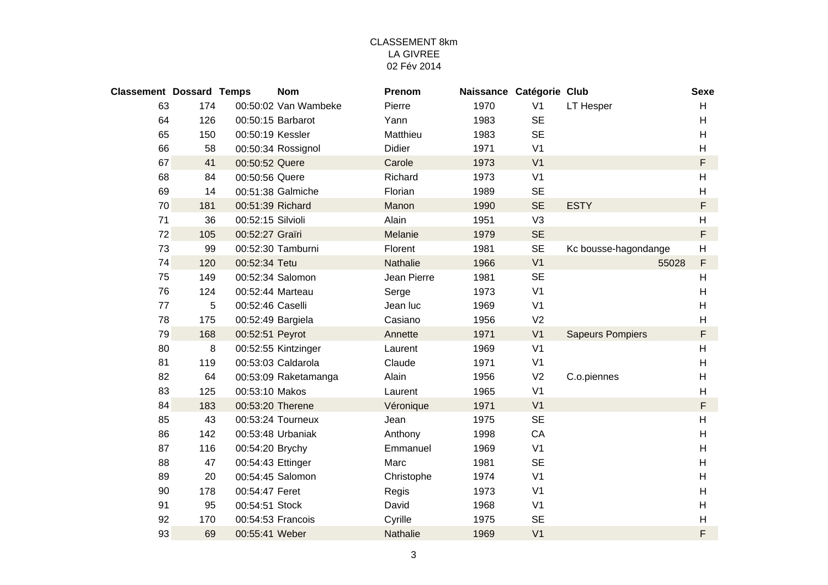| <b>Classement Dossard Temps</b> |     |                   | <b>Nom</b>           | Prenom      | Naissance Catégorie Club |                |                         | <b>Sexe</b>               |
|---------------------------------|-----|-------------------|----------------------|-------------|--------------------------|----------------|-------------------------|---------------------------|
| 63                              | 174 |                   | 00:50:02 Van Wambeke | Pierre      | 1970                     | V <sub>1</sub> | LT Hesper               | H                         |
| 64                              | 126 |                   | 00:50:15 Barbarot    | Yann        | 1983                     | <b>SE</b>      |                         | H                         |
| 65                              | 150 | 00:50:19 Kessler  |                      | Matthieu    | 1983                     | <b>SE</b>      |                         | H                         |
| 66                              | 58  |                   | 00:50:34 Rossignol   | Didier      | 1971                     | V <sub>1</sub> |                         | H                         |
| 67                              | 41  | 00:50:52 Quere    |                      | Carole      | 1973                     | V <sub>1</sub> |                         | F                         |
| 68                              | 84  | 00:50:56 Quere    |                      | Richard     | 1973                     | V <sub>1</sub> |                         | H                         |
| 69                              | 14  |                   | 00:51:38 Galmiche    | Florian     | 1989                     | <b>SE</b>      |                         | H                         |
| 70                              | 181 | 00:51:39 Richard  |                      | Manon       | 1990                     | <b>SE</b>      | <b>ESTY</b>             | F                         |
| 71                              | 36  | 00:52:15 Silvioli |                      | Alain       | 1951                     | V <sub>3</sub> |                         | H                         |
| 72                              | 105 | 00:52:27 Graïri   |                      | Melanie     | 1979                     | <b>SE</b>      |                         | F                         |
| 73                              | 99  |                   | 00:52:30 Tamburni    | Florent     | 1981                     | <b>SE</b>      | Kc bousse-hagondange    | $\boldsymbol{\mathsf{H}}$ |
| 74                              | 120 | 00:52:34 Tetu     |                      | Nathalie    | 1966                     | V <sub>1</sub> | 55028                   | F                         |
| 75                              | 149 |                   | 00:52:34 Salomon     | Jean Pierre | 1981                     | <b>SE</b>      |                         | H                         |
| 76                              | 124 | 00:52:44 Marteau  |                      | Serge       | 1973                     | V <sub>1</sub> |                         | H                         |
| 77                              | 5   | 00:52:46 Caselli  |                      | Jean luc    | 1969                     | V <sub>1</sub> |                         | H                         |
| 78                              | 175 | 00:52:49 Bargiela |                      | Casiano     | 1956                     | V <sub>2</sub> |                         | H                         |
| 79                              | 168 | 00:52:51 Peyrot   |                      | Annette     | 1971                     | V <sub>1</sub> | <b>Sapeurs Pompiers</b> | F                         |
| 80                              | 8   |                   | 00:52:55 Kintzinger  | Laurent     | 1969                     | V <sub>1</sub> |                         | H                         |
| 81                              | 119 |                   | 00:53:03 Caldarola   | Claude      | 1971                     | V <sub>1</sub> |                         | H                         |
| 82                              | 64  |                   | 00:53:09 Raketamanga | Alain       | 1956                     | V <sub>2</sub> | C.o.piennes             | H                         |
| 83                              | 125 | 00:53:10 Makos    |                      | Laurent     | 1965                     | V <sub>1</sub> |                         | H                         |
| 84                              | 183 | 00:53:20 Therene  |                      | Véronique   | 1971                     | V <sub>1</sub> |                         | F                         |
| 85                              | 43  |                   | 00:53:24 Tourneux    | Jean        | 1975                     | <b>SE</b>      |                         | H                         |
| 86                              | 142 |                   | 00:53:48 Urbaniak    | Anthony     | 1998                     | CA             |                         | H                         |
| 87                              | 116 | 00:54:20 Brychy   |                      | Emmanuel    | 1969                     | V <sub>1</sub> |                         | H                         |
| 88                              | 47  | 00:54:43 Ettinger |                      | Marc        | 1981                     | <b>SE</b>      |                         | H                         |
| 89                              | 20  |                   | 00:54:45 Salomon     | Christophe  | 1974                     | V <sub>1</sub> |                         | H                         |
| 90                              | 178 | 00:54:47 Feret    |                      | Regis       | 1973                     | V <sub>1</sub> |                         | H                         |
| 91                              | 95  | 00:54:51 Stock    |                      | David       | 1968                     | V <sub>1</sub> |                         | H                         |
| 92                              | 170 |                   | 00:54:53 Francois    | Cyrille     | 1975                     | <b>SE</b>      |                         | H                         |
| 93                              | 69  | 00:55:41 Weber    |                      | Nathalie    | 1969                     | V <sub>1</sub> |                         | F                         |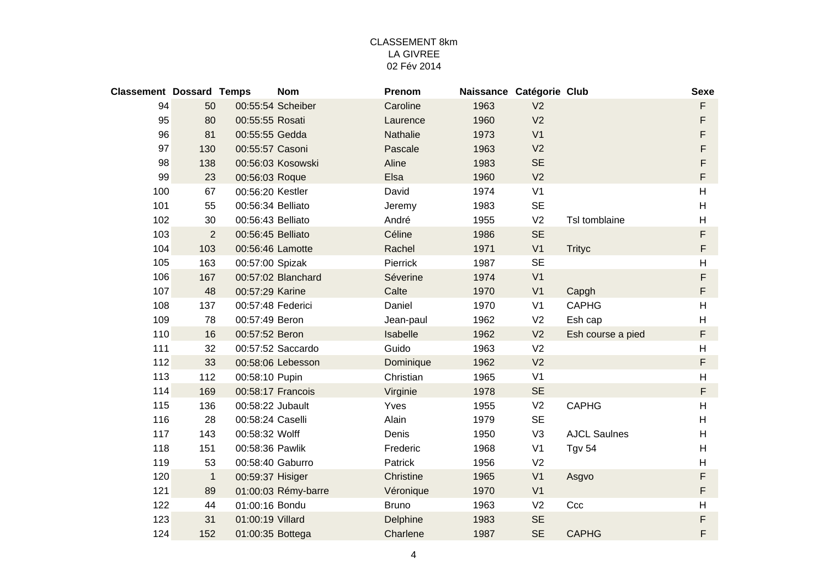| <b>Classement Dossard Temps</b> |                |                   | <b>Nom</b>          | Prenom       | Naissance Catégorie Club |                |                     | <b>Sexe</b> |
|---------------------------------|----------------|-------------------|---------------------|--------------|--------------------------|----------------|---------------------|-------------|
| 94                              | 50             |                   | 00:55:54 Scheiber   | Caroline     | 1963                     | V <sub>2</sub> |                     | F           |
| 95                              | 80             | 00:55:55 Rosati   |                     | Laurence     | 1960                     | V <sub>2</sub> |                     | F           |
| 96                              | 81             | 00:55:55 Gedda    |                     | Nathalie     | 1973                     | V <sub>1</sub> |                     | F           |
| 97                              | 130            | 00:55:57 Casoni   |                     | Pascale      | 1963                     | V <sub>2</sub> |                     | F           |
| 98                              | 138            |                   | 00:56:03 Kosowski   | Aline        | 1983                     | <b>SE</b>      |                     | F           |
| 99                              | 23             | 00:56:03 Roque    |                     | Elsa         | 1960                     | V <sub>2</sub> |                     | F           |
| 100                             | 67             | 00:56:20 Kestler  |                     | David        | 1974                     | V <sub>1</sub> |                     | H           |
| 101                             | 55             | 00:56:34 Belliato |                     | Jeremy       | 1983                     | <b>SE</b>      |                     | H           |
| 102                             | 30             | 00:56:43 Belliato |                     | André        | 1955                     | V <sub>2</sub> | Tsl tomblaine       | H           |
| 103                             | $\overline{2}$ | 00:56:45 Belliato |                     | Céline       | 1986                     | <b>SE</b>      |                     | F           |
| 104                             | 103            | 00:56:46 Lamotte  |                     | Rachel       | 1971                     | V <sub>1</sub> | <b>Trityc</b>       | $\mathsf F$ |
| 105                             | 163            | 00:57:00 Spizak   |                     | Pierrick     | 1987                     | <b>SE</b>      |                     | H           |
| 106                             | 167            |                   | 00:57:02 Blanchard  | Séverine     | 1974                     | V <sub>1</sub> |                     | $\mathsf F$ |
| 107                             | 48             | 00:57:29 Karine   |                     | Calte        | 1970                     | V <sub>1</sub> | Capgh               | F           |
| 108                             | 137            | 00:57:48 Federici |                     | Daniel       | 1970                     | V <sub>1</sub> | <b>CAPHG</b>        | H           |
| 109                             | 78             | 00:57:49 Beron    |                     | Jean-paul    | 1962                     | V <sub>2</sub> | Esh cap             | H           |
| 110                             | 16             | 00:57:52 Beron    |                     | Isabelle     | 1962                     | V <sub>2</sub> | Esh course a pied   | F           |
| 111                             | 32             |                   | 00:57:52 Saccardo   | Guido        | 1963                     | V <sub>2</sub> |                     | H           |
| 112                             | 33             |                   | 00:58:06 Lebesson   | Dominique    | 1962                     | V <sub>2</sub> |                     | F           |
| 113                             | 112            | 00:58:10 Pupin    |                     | Christian    | 1965                     | V <sub>1</sub> |                     | H           |
| 114                             | 169            |                   | 00:58:17 Francois   | Virginie     | 1978                     | <b>SE</b>      |                     | $\mathsf F$ |
| 115                             | 136            | 00:58:22 Jubault  |                     | Yves         | 1955                     | V <sub>2</sub> | <b>CAPHG</b>        | H           |
| 116                             | 28             | 00:58:24 Caselli  |                     | Alain        | 1979                     | <b>SE</b>      |                     | H           |
| 117                             | 143            | 00:58:32 Wolff    |                     | Denis        | 1950                     | V <sub>3</sub> | <b>AJCL Saulnes</b> | H           |
| 118                             | 151            | 00:58:36 Pawlik   |                     | Frederic     | 1968                     | V <sub>1</sub> | <b>Tgv 54</b>       | H           |
| 119                             | 53             | 00:58:40 Gaburro  |                     | Patrick      | 1956                     | V <sub>2</sub> |                     | H           |
| 120                             | $\mathbf{1}$   | 00:59:37 Hisiger  |                     | Christine    | 1965                     | V <sub>1</sub> | Asgvo               | F           |
| 121                             | 89             |                   | 01:00:03 Rémy-barre | Véronique    | 1970                     | V <sub>1</sub> |                     | F           |
| 122                             | 44             | 01:00:16 Bondu    |                     | <b>Bruno</b> | 1963                     | V <sub>2</sub> | Ccc                 | H           |
| 123                             | 31             | 01:00:19 Villard  |                     | Delphine     | 1983                     | <b>SE</b>      |                     | F           |
| 124                             | 152            | 01:00:35 Bottega  |                     | Charlene     | 1987                     | <b>SE</b>      | <b>CAPHG</b>        | F           |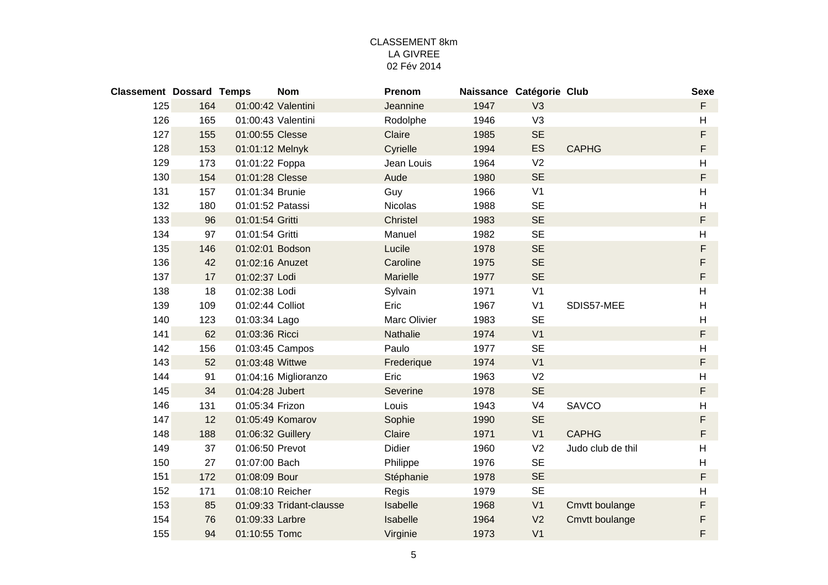| <b>Classement Dossard Temps</b> |     |                   | <b>Nom</b>               | Prenom        | Naissance Catégorie Club |                |                   | <b>Sexe</b>               |
|---------------------------------|-----|-------------------|--------------------------|---------------|--------------------------|----------------|-------------------|---------------------------|
| 125                             | 164 |                   | 01:00:42 Valentini       | Jeannine      | 1947                     | V <sub>3</sub> |                   | F                         |
| 126                             | 165 |                   | 01:00:43 Valentini       | Rodolphe      | 1946                     | V <sub>3</sub> |                   | $\boldsymbol{\mathsf{H}}$ |
| 127                             | 155 | 01:00:55 Clesse   |                          | Claire        | 1985                     | <b>SE</b>      |                   | F                         |
| 128                             | 153 | 01:01:12 Melnyk   |                          | Cyrielle      | 1994                     | <b>ES</b>      | <b>CAPHG</b>      | F                         |
| 129                             | 173 | 01:01:22 Foppa    |                          | Jean Louis    | 1964                     | V <sub>2</sub> |                   | H                         |
| 130                             | 154 | 01:01:28 Clesse   |                          | Aude          | 1980                     | <b>SE</b>      |                   | F                         |
| 131                             | 157 | 01:01:34 Brunie   |                          | Guy           | 1966                     | V <sub>1</sub> |                   | H                         |
| 132                             | 180 | 01:01:52 Patassi  |                          | Nicolas       | 1988                     | <b>SE</b>      |                   | $\boldsymbol{\mathsf{H}}$ |
| 133                             | 96  | 01:01:54 Gritti   |                          | Christel      | 1983                     | <b>SE</b>      |                   | $\mathsf F$               |
| 134                             | 97  | 01:01:54 Gritti   |                          | Manuel        | 1982                     | <b>SE</b>      |                   | H                         |
| 135                             | 146 | 01:02:01 Bodson   |                          | Lucile        | 1978                     | <b>SE</b>      |                   | $\mathsf F$               |
| 136                             | 42  | 01:02:16 Anuzet   |                          | Caroline      | 1975                     | <b>SE</b>      |                   | F                         |
| 137                             | 17  | 01:02:37 Lodi     |                          | Marielle      | 1977                     | <b>SE</b>      |                   | $\mathsf F$               |
| 138                             | 18  | 01:02:38 Lodi     |                          | Sylvain       | 1971                     | V <sub>1</sub> |                   | $\boldsymbol{\mathsf{H}}$ |
| 139                             | 109 | 01:02:44 Colliot  |                          | Eric          | 1967                     | V <sub>1</sub> | SDIS57-MEE        | H                         |
| 140                             | 123 | 01:03:34 Lago     |                          | Marc Olivier  | 1983                     | <b>SE</b>      |                   | H                         |
| 141                             | 62  | 01:03:36 Ricci    |                          | Nathalie      | 1974                     | V <sub>1</sub> |                   | $\mathsf F$               |
| 142                             | 156 | 01:03:45 Campos   |                          | Paulo         | 1977                     | <b>SE</b>      |                   | $\boldsymbol{\mathsf{H}}$ |
| 143                             | 52  | 01:03:48 Wittwe   |                          | Frederique    | 1974                     | V <sub>1</sub> |                   | $\mathsf F$               |
| 144                             | 91  |                   | 01:04:16 Miglioranzo     | Eric          | 1963                     | V <sub>2</sub> |                   | $\boldsymbol{\mathsf{H}}$ |
| 145                             | 34  | 01:04:28 Jubert   |                          | Severine      | 1978                     | <b>SE</b>      |                   | $\mathsf F$               |
| 146                             | 131 | 01:05:34 Frizon   |                          | Louis         | 1943                     | V <sub>4</sub> | SAVCO             | $\boldsymbol{\mathsf{H}}$ |
| 147                             | 12  |                   | 01:05:49 Komarov         | Sophie        | 1990                     | <b>SE</b>      |                   | F                         |
| 148                             | 188 | 01:06:32 Guillery |                          | Claire        | 1971                     | V <sub>1</sub> | <b>CAPHG</b>      | F                         |
| 149                             | 37  | 01:06:50 Prevot   |                          | <b>Didier</b> | 1960                     | V <sub>2</sub> | Judo club de thil | $\boldsymbol{\mathsf{H}}$ |
| 150                             | 27  | 01:07:00 Bach     |                          | Philippe      | 1976                     | <b>SE</b>      |                   | H                         |
| 151                             | 172 | 01:08:09 Bour     |                          | Stéphanie     | 1978                     | <b>SE</b>      |                   | F                         |
| 152                             | 171 | 01:08:10 Reicher  |                          | Regis         | 1979                     | <b>SE</b>      |                   | $\boldsymbol{\mathsf{H}}$ |
| 153                             | 85  |                   | 01:09:33 Tridant-clausse | Isabelle      | 1968                     | V <sub>1</sub> | Cmvtt boulange    | F                         |
| 154                             | 76  | 01:09:33 Larbre   |                          | Isabelle      | 1964                     | V <sub>2</sub> | Cmvtt boulange    | F                         |
| 155                             | 94  | 01:10:55 Tomc     |                          | Virginie      | 1973                     | V <sub>1</sub> |                   | F                         |